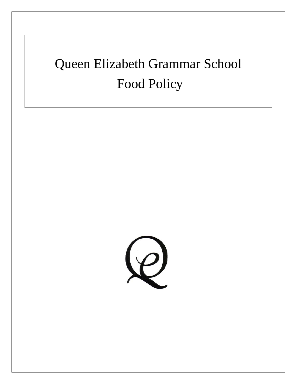# Queen Elizabeth Grammar School Food Policy

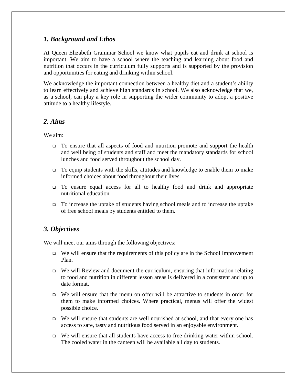## *1. Background and Ethos*

At Queen Elizabeth Grammar School we know what pupils eat and drink at school is important. We aim to have a school where the teaching and learning about food and nutrition that occurs in the curriculum fully supports and is supported by the provision and opportunities for eating and drinking within school.

We acknowledge the important connection between a healthy diet and a student's ability to learn effectively and achieve high standards in school. We also acknowledge that we, as a school, can play a key role in supporting the wider community to adopt a positive attitude to a healthy lifestyle.

## *2. Aims*

We aim:

- To ensure that all aspects of food and nutrition promote and support the health and well being of students and staff and meet the mandatory standards for school lunches and food served throughout the school day.
- To equip students with the skills, attitudes and knowledge to enable them to make informed choices about food throughout their lives.
- To ensure equal access for all to healthy food and drink and appropriate nutritional education.
- To increase the uptake of students having school meals and to increase the uptake of free school meals by students entitled to them.

## *3. Objectives*

We will meet our aims through the following objectives:

- $\Box$  We will ensure that the requirements of this policy are in the School Improvement Plan.
- $\Box$  We will Review and document the curriculum, ensuring that information relating to food and nutrition in different lesson areas is delivered in a consistent and up to date format.
- We will ensure that the menu on offer will be attractive to students in order for them to make informed choices. Where practical, menus will offer the widest possible choice.
- We will ensure that students are well nourished at school, and that every one has access to safe, tasty and nutritious food served in an enjoyable environment.
- $\Box$  We will ensure that all students have access to free drinking water within school. The cooled water in the canteen will be available all day to students.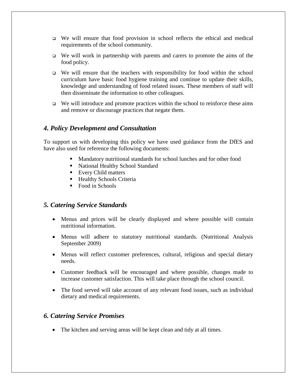- We will ensure that food provision in school reflects the ethical and medical requirements of the school community.
- $\Box$  We will work in partnership with parents and carers to promote the aims of the food policy.
- $\Box$  We will ensure that the teachers with responsibility for food within the school curriculum have basic food hygiene training and continue to update their skills, knowledge and understanding of food related issues. These members of staff will then disseminate the information to other colleagues.
- $\Box$  We will introduce and promote practices within the school to reinforce these aims and remove or discourage practices that negate them.

## *4. Policy Development and Consultation*

To support us with developing this policy we have used guidance from the DfES and have also used for reference the following documents:

- Mandatory nutritional standards for school lunches and for other food
- National Healthy School Standard
- Every Child matters
- Healthy Schools Criteria
- Food in Schools

## *5. Catering Service Standards*

- Menus and prices will be clearly displayed and where possible will contain nutritional information.
- Menus will adhere to statutory nutritional standards. (Nutritional Analysis September 2009)
- Menus will reflect customer preferences, cultural, religious and special dietary needs.
- Customer feedback will be encouraged and where possible, changes made to increase customer satisfaction. This will take place through the school council.
- The food served will take account of any relevant food issues, such as individual dietary and medical requirements.

## *6. Catering Service Promises*

• The kitchen and serving areas will be kept clean and tidy at all times.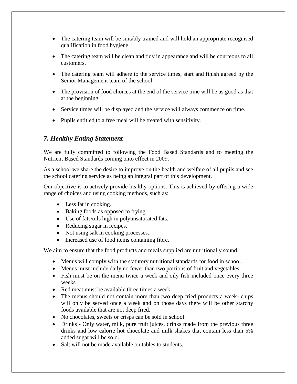- The catering team will be suitably trained and will hold an appropriate recognised qualification in food hygiene.
- The catering team will be clean and tidy in appearance and will be courteous to all customers.
- The catering team will adhere to the service times, start and finish agreed by the Senior Management team of the school.
- The provision of food choices at the end of the service time will be as good as that at the beginning.
- Service times will be displayed and the service will always commence on time.
- Pupils entitled to a free meal will be treated with sensitivity.

# *7. Healthy Eating Statement*

We are fully committed to following the Food Based Standards and to meeting the Nutrient Based Standards coming onto effect in 2009.

As a school we share the desire to improve on the health and welfare of all pupils and see the school catering service as being an integral part of this development.

Our objective is to actively provide healthy options. This is achieved by offering a wide range of choices and using cooking methods, such as:

- Less fat in cooking.
- Baking foods as opposed to frying.
- Use of fats/oils high in polyunsaturated fats.
- Reducing sugar in recipes.
- Not using salt in cooking processes.
- Increased use of food items containing fibre.

We aim to ensure that the food products and meals supplied are nutritionally sound.

- Menus will comply with the statutory nutritional standards for food in school.
- Menus must include daily no fewer than two portions of fruit and vegetables.
- Fish must be on the menu twice a week and oily fish included once every three weeks.
- Red meat must be available three times a week
- The menus should not contain more than two deep fried products a week-chips will only be served once a week and on those days there will be other starchy foods available that are not deep fried.
- No chocolates, sweets or crisps can be sold in school.
- Drinks Only water, milk, pure fruit juices, drinks made from the previous three drinks and low calorie hot chocolate and milk shakes that contain less than 5% added sugar will be sold.
- Salt will not be made available on tables to students.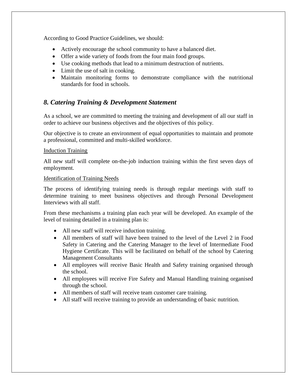According to Good Practice Guidelines, we should:

- Actively encourage the school community to have a balanced diet.
- Offer a wide variety of foods from the four main food groups.
- Use cooking methods that lead to a minimum destruction of nutrients.
- Limit the use of salt in cooking.
- Maintain monitoring forms to demonstrate compliance with the nutritional standards for food in schools.

# *8. Catering Training & Development Statement*

As a school, we are committed to meeting the training and development of all our staff in order to achieve our business objectives and the objectives of this policy.

Our objective is to create an environment of equal opportunities to maintain and promote a professional, committed and multi-skilled workforce.

### **Induction Training**

All new staff will complete on-the-job induction training within the first seven days of employment.

### Identification of Training Needs

The process of identifying training needs is through regular meetings with staff to determine training to meet business objectives and through Personal Development Interviews with all staff.

From these mechanisms a training plan each year will be developed. An example of the level of training detailed in a training plan is:

- All new staff will receive induction training.
- All members of staff will have been trained to the level of the Level 2 in Food Safety in Catering and the Catering Manager to the level of Intermediate Food Hygiene Certificate. This will be facilitated on behalf of the school by Catering Management Consultants
- All employees will receive Basic Health and Safety training organised through the school.
- All employees will receive Fire Safety and Manual Handling training organised through the school.
- All members of staff will receive team customer care training.
- All staff will receive training to provide an understanding of basic nutrition.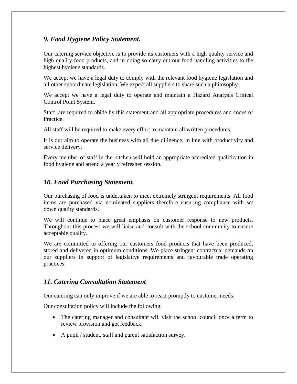# *9. Food Hygiene Policy Statement.*

Our catering service objective is to provide its customers with a high quality service and high quality food products, and in doing so carry out our food handling activities to the highest hygiene standards.

We accept we have a legal duty to comply with the relevant food hygiene legislation and all other subordinate legislation. We expect all suppliers to share such a philosophy.

We accept we have a legal duty to operate and maintain a Hazard Analysis Critical Control Point System.

Staff are required to abide by this statement and all appropriate procedures and codes of Practice.

All staff will be required to make every effort to maintain all written procedures.

It is our aim to operate the business with all due diligence, in line with productivity and service delivery.

Every member of staff in the kitchen will hold an appropriate accredited qualification in food hygiene and attend a yearly refresher session.

# *10. Food Purchasing Statement.*

Our purchasing of food is undertaken to meet extremely stringent requirements. All food items are purchased via nominated suppliers therefore ensuring compliance with set down quality standards.

We will continue to place great emphasis on customer response to new products. Throughout this process we will liaise and consult with the school community to ensure acceptable quality.

We are committed to offering our customers food products that have been produced, stored and delivered in optimum conditions. We place stringent contractual demands on our suppliers in support of legislative requirements and favourable trade operating practices.

## *11. Catering Consultation Statement*

Our catering can only improve if we are able to react promptly to customer needs.

Our consultation policy will include the following:

- The catering manager and consultant will visit the school council once a term to review provision and get feedback.
- A pupil / student, staff and parent satisfaction survey.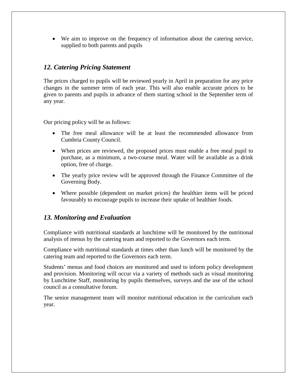• We aim to improve on the frequency of information about the catering service, supplied to both parents and pupils

## *12. Catering Pricing Statement*

The prices charged to pupils will be reviewed yearly in April in preparation for any price changes in the summer term of each year. This will also enable accurate prices to be given to parents and pupils in advance of them starting school in the September term of any year.

Our pricing policy will be as follows:

- The free meal allowance will be at least the recommended allowance from Cumbria County Council.
- When prices are reviewed, the proposed prices must enable a free meal pupil to purchase, as a minimum, a two-course meal. Water will be available as a drink option, free of charge.
- The yearly price review will be approved through the Finance Committee of the Governing Body.
- Where possible (dependent on market prices) the healthier items will be priced favourably to encourage pupils to increase their uptake of healthier foods.

## *13. Monitoring and Evaluation*

Compliance with nutritional standards at lunchtime will be monitored by the nutritional analysis of menus by the catering team and reported to the Governors each term.

Compliance with nutritional standards at times other than lunch will be monitored by the catering team and reported to the Governors each term.

Students' menus and food choices are monitored and used to inform policy development and provision. Monitoring will occur via a variety of methods such as visual monitoring by Lunchtime Staff, monitoring by pupils themselves, surveys and the use of the school council as a consultative forum.

The senior management team will monitor nutritional education in the curriculum each year.